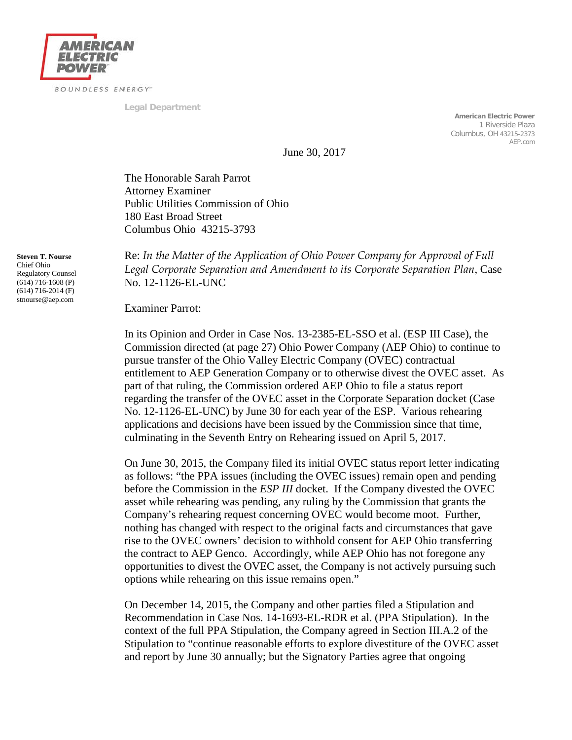

**Legal Department**

**American Electric Power** 1 Riverside Plaza Columbus, OH 43215-2373 AEP.com

June 30, 2017

The Honorable Sarah Parrot Attorney Examiner Public Utilities Commission of Ohio 180 East Broad Street Columbus Ohio 43215-3793

**Steven T. Nourse** Chief Ohio Regulatory Counsel  $(614)$  716-1608 (P) (614) 716-2014 (F) stnourse@aep.com

Re: *In the Matter of the Application of Ohio Power Company for Approval of Full Legal Corporate Separation and Amendment to its Corporate Separation Plan*, Case No. 12-1126-EL-UNC

Examiner Parrot:

In its Opinion and Order in Case Nos. 13-2385-EL-SSO et al. (ESP III Case), the Commission directed (at page 27) Ohio Power Company (AEP Ohio) to continue to pursue transfer of the Ohio Valley Electric Company (OVEC) contractual entitlement to AEP Generation Company or to otherwise divest the OVEC asset. As part of that ruling, the Commission ordered AEP Ohio to file a status report regarding the transfer of the OVEC asset in the Corporate Separation docket (Case No. 12-1126-EL-UNC) by June 30 for each year of the ESP. Various rehearing applications and decisions have been issued by the Commission since that time, culminating in the Seventh Entry on Rehearing issued on April 5, 2017.

On June 30, 2015, the Company filed its initial OVEC status report letter indicating as follows: "the PPA issues (including the OVEC issues) remain open and pending before the Commission in the *ESP III* docket. If the Company divested the OVEC asset while rehearing was pending, any ruling by the Commission that grants the Company's rehearing request concerning OVEC would become moot. Further, nothing has changed with respect to the original facts and circumstances that gave rise to the OVEC owners' decision to withhold consent for AEP Ohio transferring the contract to AEP Genco. Accordingly, while AEP Ohio has not foregone any opportunities to divest the OVEC asset, the Company is not actively pursuing such options while rehearing on this issue remains open."

On December 14, 2015, the Company and other parties filed a Stipulation and Recommendation in Case Nos. 14-1693-EL-RDR et al. (PPA Stipulation). In the context of the full PPA Stipulation, the Company agreed in Section III.A.2 of the Stipulation to "continue reasonable efforts to explore divestiture of the OVEC asset and report by June 30 annually; but the Signatory Parties agree that ongoing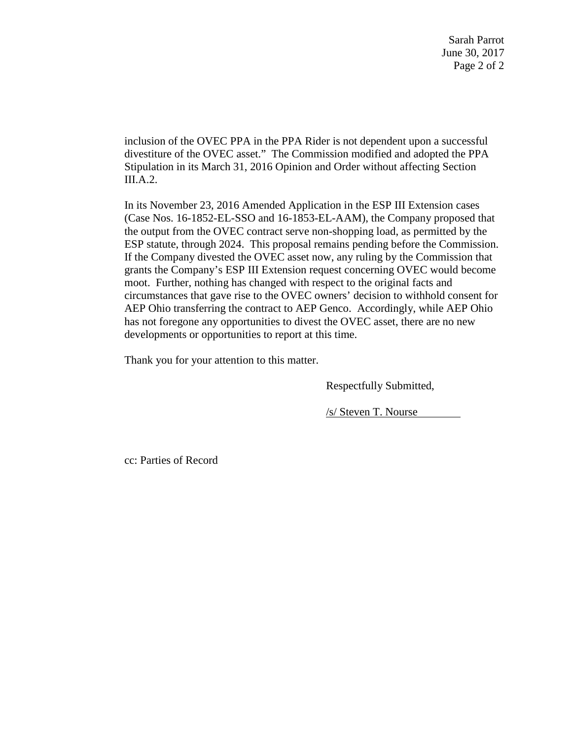Sarah Parrot June 30, 2017 Page 2 of 2

inclusion of the OVEC PPA in the PPA Rider is not dependent upon a successful divestiture of the OVEC asset." The Commission modified and adopted the PPA Stipulation in its March 31, 2016 Opinion and Order without affecting Section III.A.2.

In its November 23, 2016 Amended Application in the ESP III Extension cases (Case Nos. 16-1852-EL-SSO and 16-1853-EL-AAM), the Company proposed that the output from the OVEC contract serve non-shopping load, as permitted by the ESP statute, through 2024. This proposal remains pending before the Commission. If the Company divested the OVEC asset now, any ruling by the Commission that grants the Company's ESP III Extension request concerning OVEC would become moot. Further, nothing has changed with respect to the original facts and circumstances that gave rise to the OVEC owners' decision to withhold consent for AEP Ohio transferring the contract to AEP Genco. Accordingly, while AEP Ohio has not foregone any opportunities to divest the OVEC asset, there are no new developments or opportunities to report at this time.

Thank you for your attention to this matter.

Respectfully Submitted,

/s/ Steven T. Nourse

cc: Parties of Record